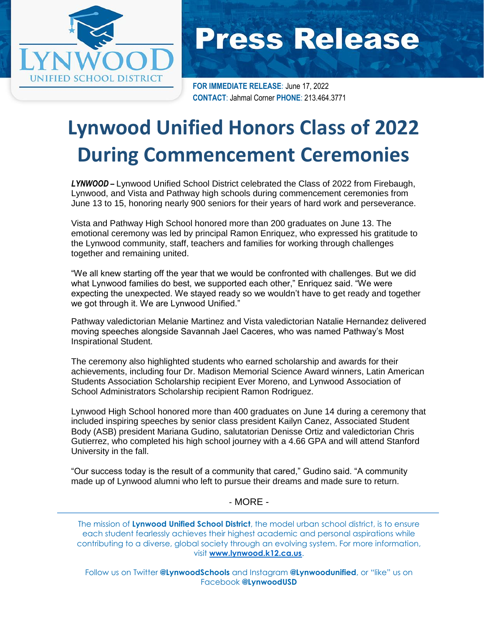

## **Press Release**

**FOR IMMEDIATE RELEASE:** June 17, 2022 **CONTACT**: Jahmal Corner **PHONE**: 213.464.3771

## **Lynwood Unified Honors Class of 2022 During Commencement Ceremonies**

*LYNWOOD –* Lynwood Unified School District celebrated the Class of 2022 from Firebaugh, Lynwood, and Vista and Pathway high schools during commencement ceremonies from June 13 to 15, honoring nearly 900 seniors for their years of hard work and perseverance.

Vista and Pathway High School honored more than 200 graduates on June 13. The emotional ceremony was led by principal Ramon Enriquez, who expressed his gratitude to the Lynwood community, staff, teachers and families for working through challenges together and remaining united.

"We all knew starting off the year that we would be confronted with challenges. But we did what Lynwood families do best, we supported each other," Enriquez said. "We were expecting the unexpected. We stayed ready so we wouldn't have to get ready and together we got through it. We are Lynwood Unified."

Pathway valedictorian Melanie Martinez and Vista valedictorian Natalie Hernandez delivered moving speeches alongside Savannah Jael Caceres, who was named Pathway's Most Inspirational Student.

The ceremony also highlighted students who earned scholarship and awards for their achievements, including four Dr. Madison Memorial Science Award winners, Latin American Students Association Scholarship recipient Ever Moreno, and Lynwood Association of School Administrators Scholarship recipient Ramon Rodriguez.

Lynwood High School honored more than 400 graduates on June 14 during a ceremony that included inspiring speeches by senior class president Kailyn Canez, Associated Student Body (ASB) president Mariana Gudino, salutatorian Denisse Ortiz and valedictorian Chris Gutierrez, who completed his high school journey with a 4.66 GPA and will attend Stanford University in the fall.

"Our success today is the result of a community that cared," Gudino said. "A community made up of Lynwood alumni who left to pursue their dreams and made sure to return.

## - MORE -

The mission of **Lynwood Unified School District**, the model urban school district, is to ensure each student fearlessly achieves their highest academic and personal aspirations while contributing to a diverse, global society through an evolving system. For more information, visit **[www.lynwood.k12.ca.us](http://www.lynwood.k12.ca.us/)**.

Follow us on Twitter **@LynwoodSchools** and Instagram **@Lynwoodunified**, or "like" us on Facebook **@LynwoodUSD**